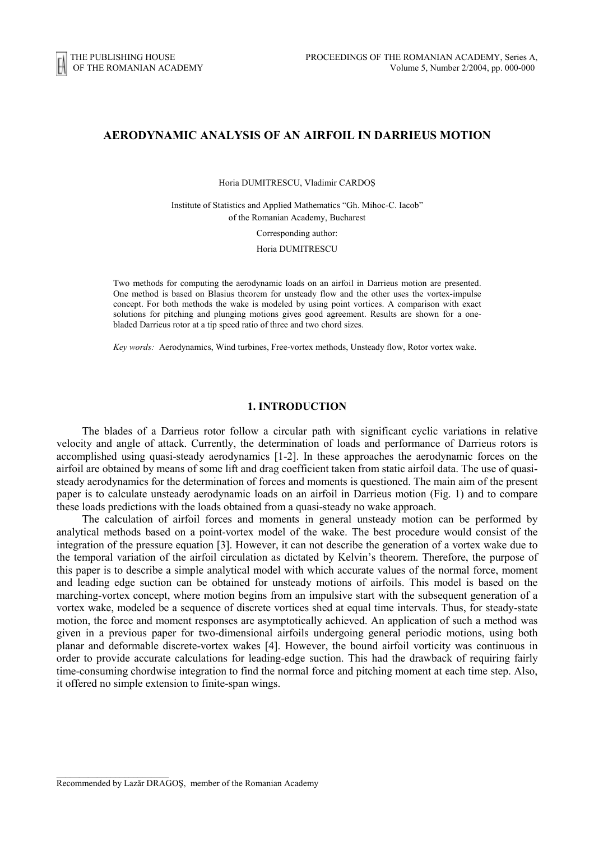# **AERODYNAMIC ANALYSIS OF AN AIRFOIL IN DARRIEUS MOTION**

Horia DUMITRESCU, Vladimir CARDOŞ

Institute of Statistics and Applied Mathematics "Gh. Mihoc-C. Iacob" of the Romanian Academy, Bucharest

Corresponding author:

Horia DUMITRESCU

Two methods for computing the aerodynamic loads on an airfoil in Darrieus motion are presented. One method is based on Blasius theorem for unsteady flow and the other uses the vortex-impulse concept. For both methods the wake is modeled by using point vortices. A comparison with exact solutions for pitching and plunging motions gives good agreement. Results are shown for a onebladed Darrieus rotor at a tip speed ratio of three and two chord sizes.

*Key words:* Aerodynamics, Wind turbines, Free-vortex methods, Unsteady flow, Rotor vortex wake.

### **1. INTRODUCTION**

The blades of a Darrieus rotor follow a circular path with significant cyclic variations in relative velocity and angle of attack. Currently, the determination of loads and performance of Darrieus rotors is accomplished using quasi-steady aerodynamics [1-2]. In these approaches the aerodynamic forces on the airfoil are obtained by means of some lift and drag coefficient taken from static airfoil data. The use of quasisteady aerodynamics for the determination of forces and moments is questioned. The main aim of the present paper is to calculate unsteady aerodynamic loads on an airfoil in Darrieus motion (Fig. 1) and to compare these loads predictions with the loads obtained from a quasi-steady no wake approach.

The calculation of airfoil forces and moments in general unsteady motion can be performed by analytical methods based on a point-vortex model of the wake. The best procedure would consist of the integration of the pressure equation [3]. However, it can not describe the generation of a vortex wake due to the temporal variation of the airfoil circulation as dictated by Kelvin's theorem. Therefore, the purpose of this paper is to describe a simple analytical model with which accurate values of the normal force, moment and leading edge suction can be obtained for unsteady motions of airfoils. This model is based on the marching-vortex concept, where motion begins from an impulsive start with the subsequent generation of a vortex wake, modeled be a sequence of discrete vortices shed at equal time intervals. Thus, for steady-state motion, the force and moment responses are asymptotically achieved. An application of such a method was given in a previous paper for two-dimensional airfoils undergoing general periodic motions, using both planar and deformable discrete-vortex wakes [4]. However, the bound airfoil vorticity was continuous in order to provide accurate calculations for leading-edge suction. This had the drawback of requiring fairly time-consuming chordwise integration to find the normal force and pitching moment at each time step. Also, it offered no simple extension to finite-span wings.

 $\mathcal{L}_\text{max}$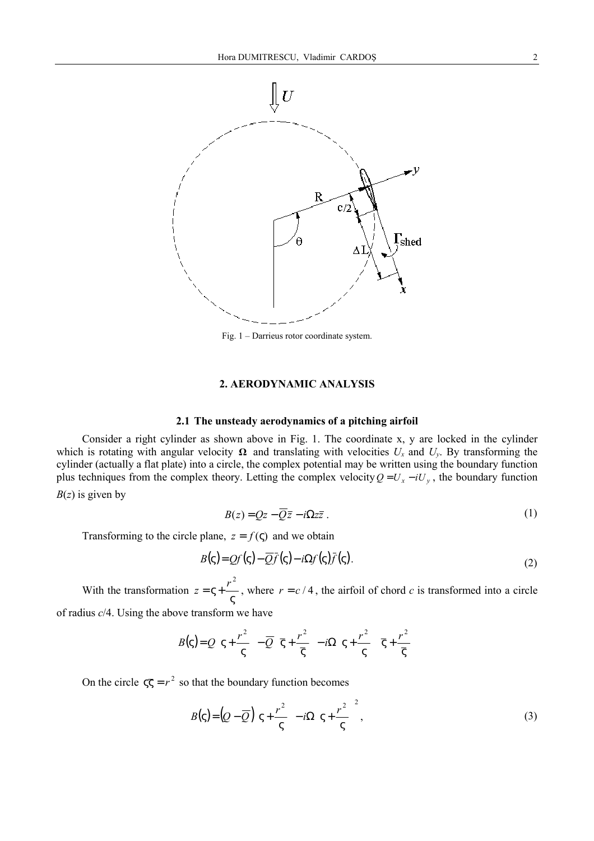

Fig. 1 – Darrieus rotor coordinate system.

### **2. AERODYNAMIC ANALYSIS**

## **2.1 The unsteady aerodynamics of a pitching airfoil**

Consider a right cylinder as shown above in Fig. 1. The coordinate x, y are locked in the cylinder which is rotating with angular velocity  $\Omega$  and translating with velocities  $U_x$  and  $U_y$ . By transforming the cylinder (actually a flat plate) into a circle, the complex potential may be written using the boundary function plus techniques from the complex theory. Letting the complex velocity  $Q = U_x - iU_y$ , the boundary function *B*(*z*) is given by

$$
B(z) = Qz - \overline{Q}\overline{z} - i\Omega z\overline{z} \tag{1}
$$

Transforming to the circle plane,  $z = f(\varsigma)$  and we obtain

$$
B(\zeta) = Qf(\zeta) - \overline{Q}f(\zeta) - i\Omega f(\zeta)\overline{f}(\zeta).
$$
\n(2)

With the transformation  $z = \varsigma + \frac{1}{\varsigma}$  $z = \zeta + \frac{r^2}{r}$ , where  $r = c/4$ , the airfoil of chord *c* is transformed into a circle

of radius *c*/4. Using the above transform we have

$$
B(\varsigma) = Q\left(\varsigma + \frac{r^2}{\varsigma}\right) - \overline{Q}\left(\overline{\varsigma} + \frac{r^2}{\overline{\varsigma}}\right) - i\Omega\left(\varsigma + \frac{r^2}{\varsigma}\right)\overline{\varsigma} + \frac{r^2}{\overline{\varsigma}}\right)
$$

On the circle  $\zeta \overline{\zeta} = r^2$  so that the boundary function becomes

$$
B(\zeta) = \left(Q - \overline{Q}\right)\left(\zeta + \frac{r^2}{\zeta}\right) - i\Omega\left(\zeta + \frac{r^2}{\zeta}\right)^2,\tag{3}
$$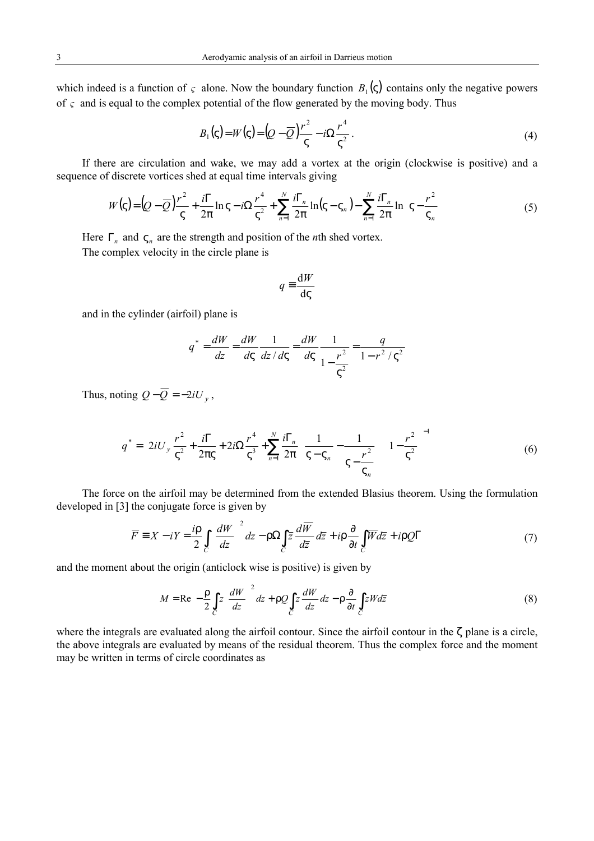which indeed is a function of  $\varsigma$  alone. Now the boundary function  $B_1(\varsigma)$  contains only the negative powers of *ς* and is equal to the complex potential of the flow generated by the moving body. Thus

$$
B_1(\zeta) = W(\zeta) = (Q - \overline{Q})\frac{r^2}{\zeta} - i\Omega \frac{r^4}{\zeta^2}.
$$
 (4)

If there are circulation and wake, we may add a vortex at the origin (clockwise is positive) and a sequence of discrete vortices shed at equal time intervals giving

$$
W(\varsigma) = \left(Q - \overline{Q}\right)\frac{r^2}{\varsigma} + \frac{i\Gamma}{2\pi}\ln\varsigma - i\Omega\frac{r^4}{\varsigma^2} + \sum_{n=1}^N\frac{i\Gamma_n}{2\pi}\ln(\varsigma - \varsigma_n) - \sum_{n=1}^N\frac{i\Gamma_n}{2\pi}\ln\left(\varsigma - \frac{r^2}{\varsigma_n}\right) \tag{5}
$$

Here  $\Gamma_n$  and  $\varsigma_n$  are the strength and position of the *n*th shed vortex.

The complex velocity in the circle plane is

$$
q \equiv \frac{\mathrm{d}W}{\mathrm{d}\varsigma}
$$

and in the cylinder (airfoil) plane is

$$
q^* = \frac{dW}{dz} = \frac{dW}{d\varsigma} \frac{1}{dz/d\varsigma} = \frac{dW}{d\varsigma} \frac{1}{1 - \frac{r^2}{\varsigma^2}} = \frac{q}{1 - r^2 / \varsigma^2}
$$

Thus, noting  $Q - \overline{Q} = -2iU_v$ ,

$$
q^* = \left[ 2iU_y \frac{r^2}{\varsigma^2} + \frac{i\Gamma}{2\pi\varsigma} + 2i\Omega \frac{r^4}{\varsigma^3} + \sum_{n=1}^N \frac{i\Gamma_n}{2\pi} \left( \frac{1}{\varsigma - \varsigma_n} - \frac{1}{\varsigma - \frac{r^2}{\varsigma_n}} \right) \right] \left( 1 - \frac{r^2}{\varsigma^2} \right)^{-1}
$$
(6)

The force on the airfoil may be determined from the extended Blasius theorem. Using the formulation developed in [3] the conjugate force is given by

$$
\overline{F} \equiv X - iY = \frac{i\rho}{2} \int_{C} \left(\frac{dW}{dz}\right)^2 dz - \rho \Omega \int_{C} \overline{z} \frac{d\overline{W}}{d\overline{z}} d\overline{z} + i\rho \frac{\partial}{\partial t} \int_{C} \overline{W} d\overline{z} + i\rho \mathcal{Q}\Gamma
$$
\n(7)

and the moment about the origin (anticlock wise is positive) is given by

$$
M = \text{Re}\left[-\frac{\rho}{2}\int_{C} z \left(\frac{dW}{dz}\right)^{2} dz + \rho Q \int_{C} z \frac{dW}{dz} dz - \rho \frac{\partial}{\partial t} \int_{C} zW d\overline{z}\right]
$$
(8)

where the integrals are evaluated along the airfoil contour. Since the airfoil contour in the ζ plane is a circle, the above integrals are evaluated by means of the residual theorem. Thus the complex force and the moment may be written in terms of circle coordinates as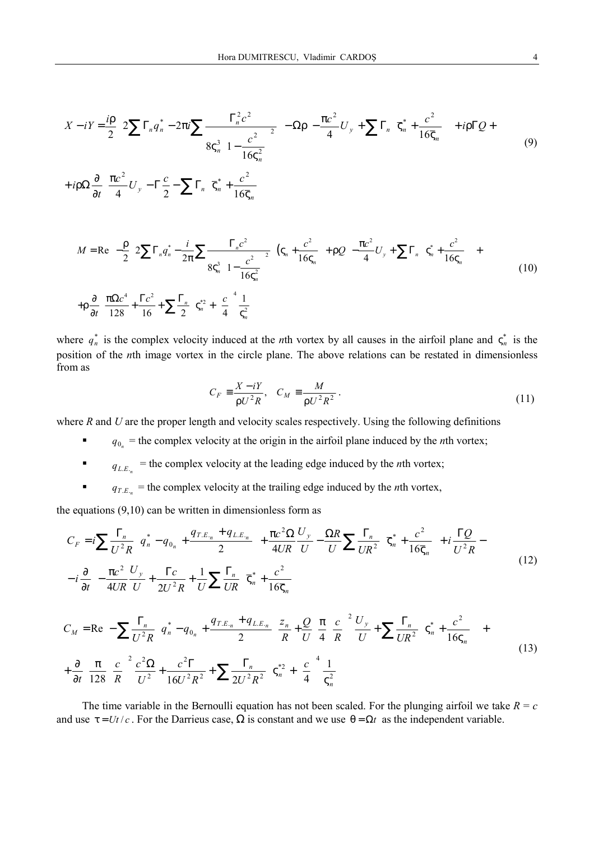$$
X - iY = \frac{i\rho}{2} \left[ 2\sum \Gamma_n q_n^* - 2\pi i \sum \frac{\Gamma_n^2 c^2}{8\varsigma_n^3 \left(1 - \frac{c^2}{16\varsigma_n^2}\right)^2} \right] - \Omega \rho \left[ -\frac{\pi c^2}{4} U_y + \sum \Gamma_n \left( \overline{\varsigma}_n^* + \frac{c^2}{16\overline{\varsigma}_n} \right) \right] + i\rho \Gamma Q +
$$
  
+  $i\rho \Omega \frac{\partial}{\partial t} \left[ \frac{\pi c^2}{4} U_y - \Gamma \frac{c}{2} - \sum \Gamma_n \left( \overline{\varsigma}_n^* + \frac{c^2}{16\overline{\varsigma}_n} \right) \right]$   

$$
M = \text{Re} \left\{ -\frac{\rho}{2} \left[ 2\sum \Gamma_n q_n^* - \frac{i}{2\pi} \sum \frac{\Gamma_n c^2}{8\varsigma_n^3 \left(1 - \frac{c^2}{16\varsigma_n^2}\right)^2} \right] \left( \varsigma_n + \frac{c^2}{16\varsigma_n} \right) + \rho Q \left[ -\frac{\pi c^2}{4} U_y + \sum \Gamma_n \left( \varsigma_n^* + \frac{c^2}{16\varsigma_n} \right) \right] +
$$
  
+  $\rho \frac{\partial}{\partial t} \left[ \frac{\pi \Omega c^4}{128} + \frac{\Gamma c^2}{16} + \sum \frac{\Gamma_n}{2} \left( \varsigma_n^* + \left( \frac{c}{4} \right)^4 \frac{1}{\varsigma_n^2} \right) \right] \right\}$  (10)

where  $q_n^*$  is the complex velocity induced at the *n*th vortex by all causes in the airfoil plane and  $\zeta_n^*$  is the position of the *n*th image vortex in the circle plane. The above relations can be restated in dimensionless from as

$$
C_F \equiv \frac{X - iY}{\rho U^2 R}, \quad C_M \equiv \frac{M}{\rho U^2 R^2}.
$$
\n(11)

where *R* and *U* are the proper length and velocity scales respectively. Using the following definitions

- $q_{0}$  = the complex velocity at the origin in the airfoil plane induced by the *n*th vortex;
- $q_{L,E_n}$  = the complex velocity at the leading edge induced by the *n*th vortex;
- $q_{T.E_n}$  = the complex velocity at the trailing edge induced by the *n*th vortex,

the equations  $(9,10)$  can be written in dimensionless form as

$$
C_{F} = i \sum \frac{\Gamma_{n}}{U^{2}R} \left( q_{n}^{*} - q_{0_{n}} + \frac{q_{T,E_{n}} + q_{L,E_{n}}}{2} \right) + \frac{\pi c^{2} \Omega}{4UR} \frac{U_{y}}{U} - \frac{\Omega R}{U} \sum \frac{\Gamma_{n}}{UR^{2}} \left( \overline{\varsigma}_{n}^{*} + \frac{c^{2}}{16 \overline{\varsigma}_{n}} \right) + i \frac{\Gamma Q}{U^{2}R} - i \frac{\partial}{\partial t} \left[ -\frac{\pi c^{2}}{4UR} \frac{U_{y}}{U} + \frac{\Gamma c}{2U^{2}R} + \frac{1}{U} \sum \frac{\Gamma_{n}}{UR} \left( \overline{\varsigma}_{n}^{*} + \frac{c^{2}}{16 \overline{\varsigma}_{n}} \right) \right]
$$
\n
$$
C_{M} = \text{Re} \left\{ -\sum \frac{\Gamma_{n}}{\Sigma^{2}R} \left( q_{n}^{*} - q_{0_{n}} + \frac{q_{T,E_{n}} + q_{L,E_{n}}}{2} \right) \frac{z_{n}}{R} + \frac{Q}{U} \left[ \frac{\pi}{4} \left( \frac{c}{R} \right)^{2} \frac{U_{y}}{V} + \sum \frac{\Gamma_{n}}{\Sigma^{2}} \left( \overline{\varsigma}_{n}^{*} + \frac{c^{2}}{16 \overline{\varsigma}_{n}} \right) \right] + \frac{\pi}{4} \left[ \frac{\pi}{4} \left( \frac{c}{R} \right)^{2} \frac{U_{y}}{V} + \sum \frac{\Gamma_{n}}{\Sigma^{2}R} \left( \overline{\varsigma}_{n}^{*} + \frac{c^{2}}{16 \overline{\varsigma}_{n}^{*}} \right) \right] + \frac{\pi}{4} \left[ \frac{\pi}{4} \left( \frac{c}{R} \right)^{2} \frac{U_{y}}{V} + \frac{\pi}{4} \left( \frac{c}{R} \right)^{2} \frac{U_{y}}{V} + \frac{\pi}{4} \left( \frac{c}{R} \right)^{2} \frac{U_{y}}{V} + \frac{\pi}{4} \left( \frac{c}{R} \right)^{2} \frac{U_{y}}{V} + \frac{\pi}{4} \left( \frac{c}{R} \right)^{2} \frac{U_{y}}{V} + \frac{\pi}{
$$

$$
C_M = \text{Re}\left\{-\sum \frac{\Gamma_n}{U^2 R} \left(q_n^* - q_{0_n} + \frac{q_{T,E_n} + q_{L,E_n}}{2}\right) \frac{z_n}{R} + \frac{Q}{U} \left[ \frac{\pi}{4} \left(\frac{c}{R}\right)^2 \frac{U_y}{U} + \sum \frac{\Gamma_n}{UR^2} \left(\zeta_n^* + \frac{c^2}{16\zeta_n}\right) \right] + \frac{\partial}{\partial t} \left[ \frac{\pi}{128} \left(\frac{c}{R}\right)^2 \frac{c^2 \Omega}{U^2} + \frac{c^2 \Gamma}{16U^2 R^2} + \sum \frac{\Gamma_n}{2U^2 R^2} \left(\zeta_n^{*2} + \left(\frac{c}{4}\right)^4 \frac{1}{\zeta_n^2}\right) \right] \right\}
$$
(13)

The time variable in the Bernoulli equation has not been scaled. For the plunging airfoil we take  $R = c$ and use  $\tau = Ut/c$ . For the Darrieus case,  $\Omega$  is constant and we use  $\theta = \Omega t$  as the independent variable.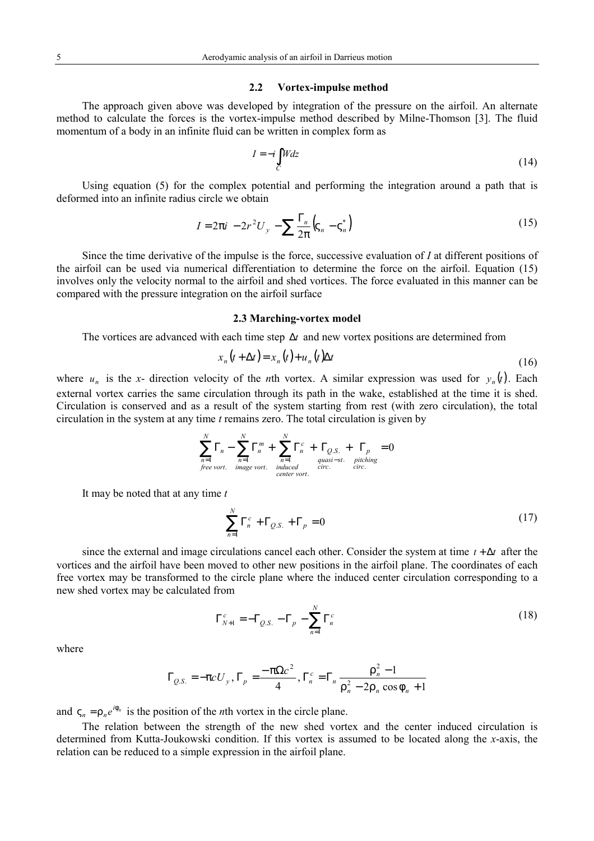### **2.2 Vortex-impulse method**

The approach given above was developed by integration of the pressure on the airfoil. An alternate method to calculate the forces is the vortex-impulse method described by Milne-Thomson [3]. The fluid momentum of a body in an infinite fluid can be written in complex form as

$$
I = -i \int_C W dz \tag{14}
$$

Using equation (5) for the complex potential and performing the integration around a path that is deformed into an infinite radius circle we obtain

$$
I = 2\pi i \left[ -2r^2 U_y - \sum \frac{\Gamma_n}{2\pi} \left( \zeta_n - \zeta_n^* \right) \right]
$$
 (15)

Since the time derivative of the impulse is the force, successive evaluation of *I* at different positions of the airfoil can be used via numerical differentiation to determine the force on the airfoil. Equation (15) involves only the velocity normal to the airfoil and shed vortices. The force evaluated in this manner can be compared with the pressure integration on the airfoil surface

#### **2.3 Marching-vortex model**

The vortices are advanced with each time step ∆*t* and new vortex positions are determined from

$$
x_n(t + \Delta t) = x_n(t) + u_n(t)\Delta t \tag{16}
$$

where  $u_n$  is the *x*- direction velocity of the *n*th vortex. A similar expression was used for  $y_n(t)$ . Each external vortex carries the same circulation through its path in the wake, established at the time it is shed. Circulation is conserved and as a result of the system starting from rest (with zero circulation), the total circulation in the system at any time *t* remains zero. The total circulation is given by

$$
\sum_{n=1}^{N} \Gamma_n - \sum_{n=1}^{N} \Gamma_n^m + \sum_{\substack{n=1 \ \text{quasi-st.} \ \text{quasi-st.} \ \text{pitching} \\ \text{free vort. } \ \text{image vort.} \ \text{induced} \\ \text{center vort. } \ \text{circ.} \ \text{circ.}
$$

It may be noted that at any time *t*

$$
\sum_{n=1}^{N} \Gamma_n^c + \Gamma_{Q.S.} + \Gamma_p = 0 \tag{17}
$$

since the external and image circulations cancel each other. Consider the system at time *t* + ∆*t* after the vortices and the airfoil have been moved to other new positions in the airfoil plane. The coordinates of each free vortex may be transformed to the circle plane where the induced center circulation corresponding to a new shed vortex may be calculated from

$$
\Gamma_{N+1}^c = -\Gamma_{Q.S.} - \Gamma_p - \sum_{n=1}^N \Gamma_n^c
$$
 (18)

where

$$
\Gamma_{Q.S.} = -\pi c U_y, \Gamma_p = \frac{-\pi \Omega c^2}{4}, \Gamma_n^c = \Gamma_n \frac{\rho_n^2 - 1}{\rho_n^2 - 2\rho_n \cos \phi_n + 1}
$$

and  $\varsigma_n = \rho_n e^{i\phi_n}$  is the position of the *n*th vortex in the circle plane.

The relation between the strength of the new shed vortex and the center induced circulation is determined from Kutta-Joukowski condition. If this vortex is assumed to be located along the *x*-axis, the relation can be reduced to a simple expression in the airfoil plane.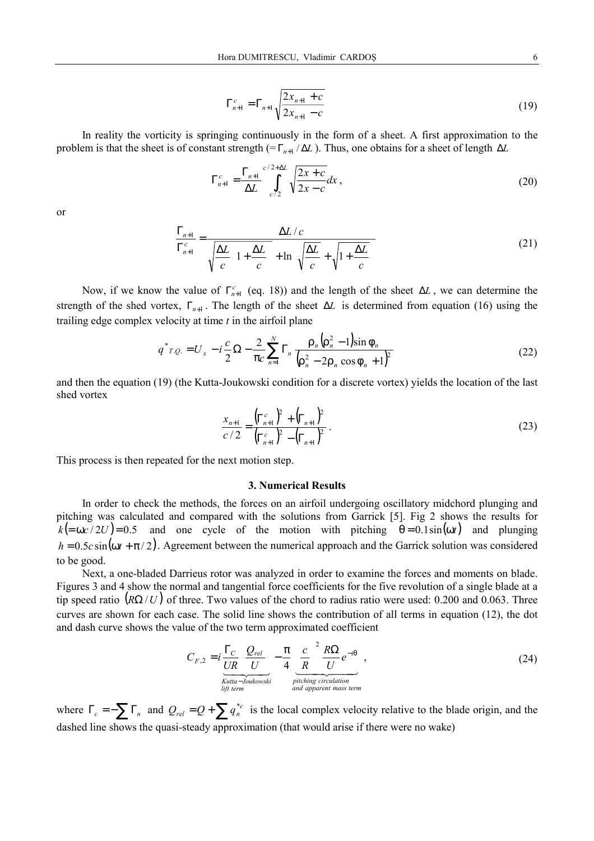$$
\Gamma_{n+1}^c = \Gamma_{n+1} \sqrt{\frac{2x_{n+1} + c}{2x_{n+1} - c}} \tag{19}
$$

In reality the vorticity is springing continuously in the form of a sheet. A first approximation to the problem is that the sheet is of constant strength ( $=\Gamma_{n+1}/\Delta L$ ). Thus, one obtains for a sheet of length  $\Delta L$ 

$$
\Gamma_{n+1}^c = \frac{\Gamma_{n+1}}{\Delta L} \int_{c/2}^{c/2+\Delta L} \sqrt{\frac{2x+c}{2x-c}} dx , \qquad (20)
$$

or

$$
\frac{\Gamma_{n+1}}{\Gamma_{n+1}^c} = \frac{\Delta L/c}{\sqrt{\frac{\Delta L}{c} \left(1 + \frac{\Delta L}{c}\right)} + \ln\left(\sqrt{\frac{\Delta L}{c}} + \sqrt{1 + \frac{\Delta L}{c}}\right)}
$$
(21)

Now, if we know the value of  $\Gamma_{n+1}^c$  (eq. 18)) and the length of the sheet  $\Delta L$ , we can determine the strength of the shed vortex,  $\Gamma_{n+1}$ . The length of the sheet  $\Delta L$  is determined from equation (16) using the trailing edge complex velocity at time *t* in the airfoil plane

$$
q^*_{I,Q.} = U_x - i\frac{c}{2}\Omega - \frac{2}{\pi c}\sum_{n=1}^N \Gamma_n \frac{\rho_n (\rho_n^2 - 1) \sin \phi_n}{(\rho_n^2 - 2\rho_n \cos \phi_n + 1)^2}
$$
(22)

and then the equation (19) (the Kutta-Joukowski condition for a discrete vortex) yields the location of the last shed vortex

$$
\frac{x_{n+1}}{c/2} = \frac{\left(\Gamma_{n+1}^c\right)^2 + \left(\Gamma_{n+1}\right)^2}{\left(\Gamma_{n+1}^c\right)^2 - \left(\Gamma_{n+1}\right)^2} \,. \tag{23}
$$

This process is then repeated for the next motion step.

## **3. Numerical Results**

In order to check the methods, the forces on an airfoil undergoing oscillatory midchord plunging and pitching was calculated and compared with the solutions from Garrick [5]. Fig 2 shows the results for  $k (= \omega c / 2U) = 0.5$  and one cycle of the motion with pitching  $\theta = 0.1 \sin(\omega t)$  and plunging  $h = 0.5c \sin(\omega t + \pi/2)$ . Agreement between the numerical approach and the Garrick solution was considered to be good.

Next, a one-bladed Darrieus rotor was analyzed in order to examine the forces and moments on blade. Figures 3 and 4 show the normal and tangential force coefficients for the five revolution of a single blade at a tip speed ratio  $(R\Omega/U)$  of three. Two values of the chord to radius ratio were used: 0.200 and 0.063. Three curves are shown for each case. The solid line shows the contribution of all terms in equation (12), the dot and dash curve shows the value of the two term approximated coefficient

$$
C_{F,2} = i \frac{\Gamma_C}{UR} \left( \frac{Q_{rel}}{U} \right) - \frac{\pi}{4} \left( \frac{c}{R} \right)^2 \frac{R\Omega}{U} e^{-i\theta} ,
$$
  
\nKutta-Joukowski  
\nlight term  
\nand apparent mass term  
\n
$$
M
$$
\n(24)

where  $\Gamma_c = -\sum \Gamma_n$  and  $Q_{rel} = Q + \sum q_n^{*c}$  is the local complex velocity relative to the blade origin, and the dashed line shows the quasi-steady approximation (that would arise if there were no wake)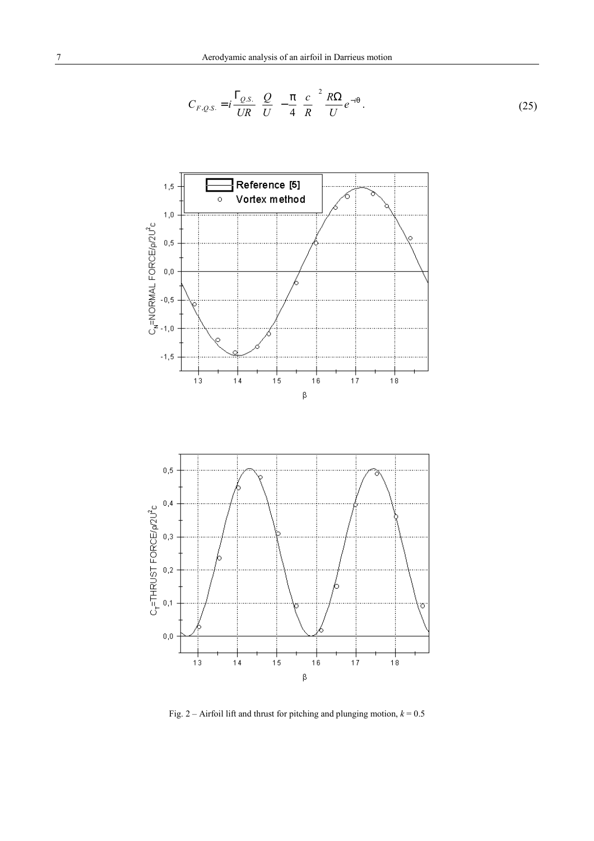$$
C_{F,Q.S.} = i \frac{\Gamma_{Q.S.}}{UR} \left(\frac{Q}{U}\right) - \frac{\pi}{4} \left(\frac{c}{R}\right)^2 \frac{R\Omega}{U} e^{-i\theta} \,. \tag{25}
$$





Fig. 2 – Airfoil lift and thrust for pitching and plunging motion,  $k = 0.5$ 

 $\beta$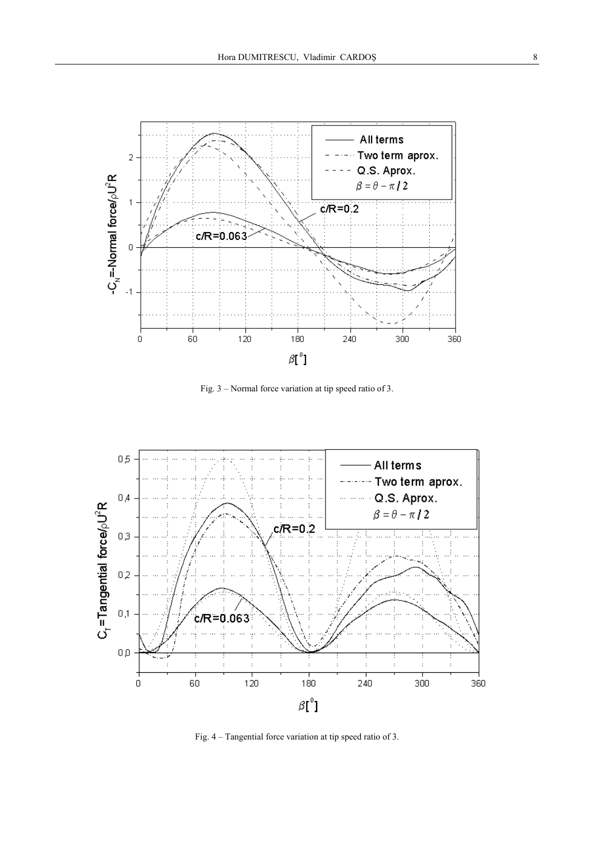

Fig. 3 – Normal force variation at tip speed ratio of 3.



Fig. 4 – Tangential force variation at tip speed ratio of 3.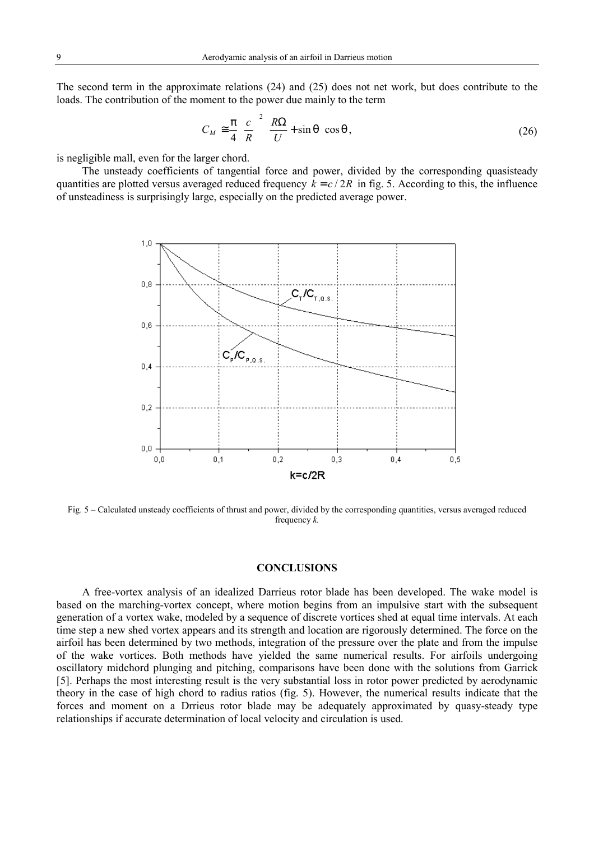The second term in the approximate relations (24) and (25) does not net work, but does contribute to the loads. The contribution of the moment to the power due mainly to the term

$$
C_M \approx \frac{\pi}{4} \left(\frac{c}{R}\right)^2 \left(\frac{R\Omega}{U} + \sin\theta\right) \cos\theta, \tag{26}
$$

is negligible mall, even for the larger chord.

The unsteady coefficients of tangential force and power, divided by the corresponding quasisteady quantities are plotted versus averaged reduced frequency  $k = c/2R$  in fig. 5. According to this, the influence of unsteadiness is surprisingly large, especially on the predicted average power.



Fig. 5 – Calculated unsteady coefficients of thrust and power, divided by the corresponding quantities, versus averaged reduced frequency *k.*

# **CONCLUSIONS**

A free-vortex analysis of an idealized Darrieus rotor blade has been developed. The wake model is based on the marching-vortex concept, where motion begins from an impulsive start with the subsequent generation of a vortex wake, modeled by a sequence of discrete vortices shed at equal time intervals. At each time step a new shed vortex appears and its strength and location are rigorously determined. The force on the airfoil has been determined by two methods, integration of the pressure over the plate and from the impulse of the wake vortices. Both methods have yielded the same numerical results. For airfoils undergoing oscillatory midchord plunging and pitching, comparisons have been done with the solutions from Garrick [5]. Perhaps the most interesting result is the very substantial loss in rotor power predicted by aerodynamic theory in the case of high chord to radius ratios (fig. 5). However, the numerical results indicate that the forces and moment on a Drrieus rotor blade may be adequately approximated by quasy-steady type relationships if accurate determination of local velocity and circulation is used.